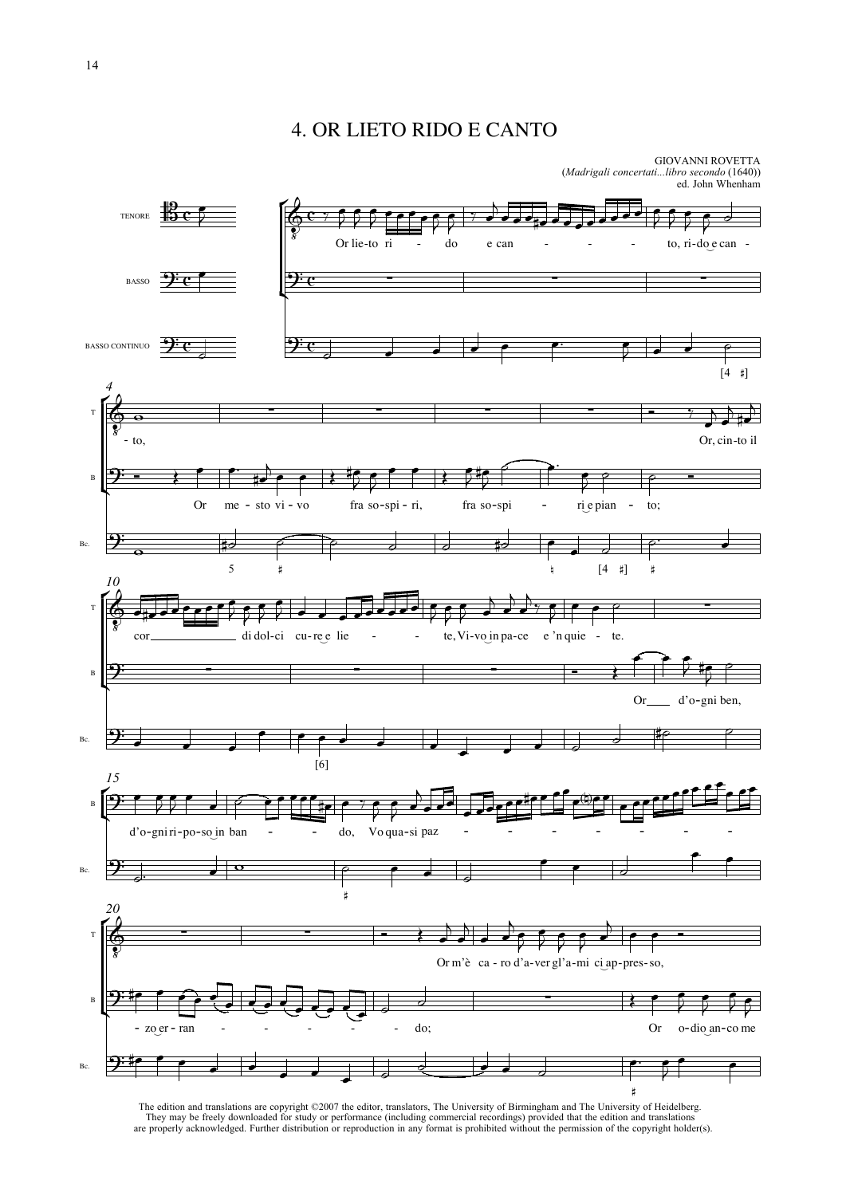# 4. OR LIETO RIDO E CANTO



The edition and translations are copyright ©2007 the editor, translators, The University of Birmingham and The University of Heidelberg.<br>They may be freely downloaded for study or performance (including commercial recordin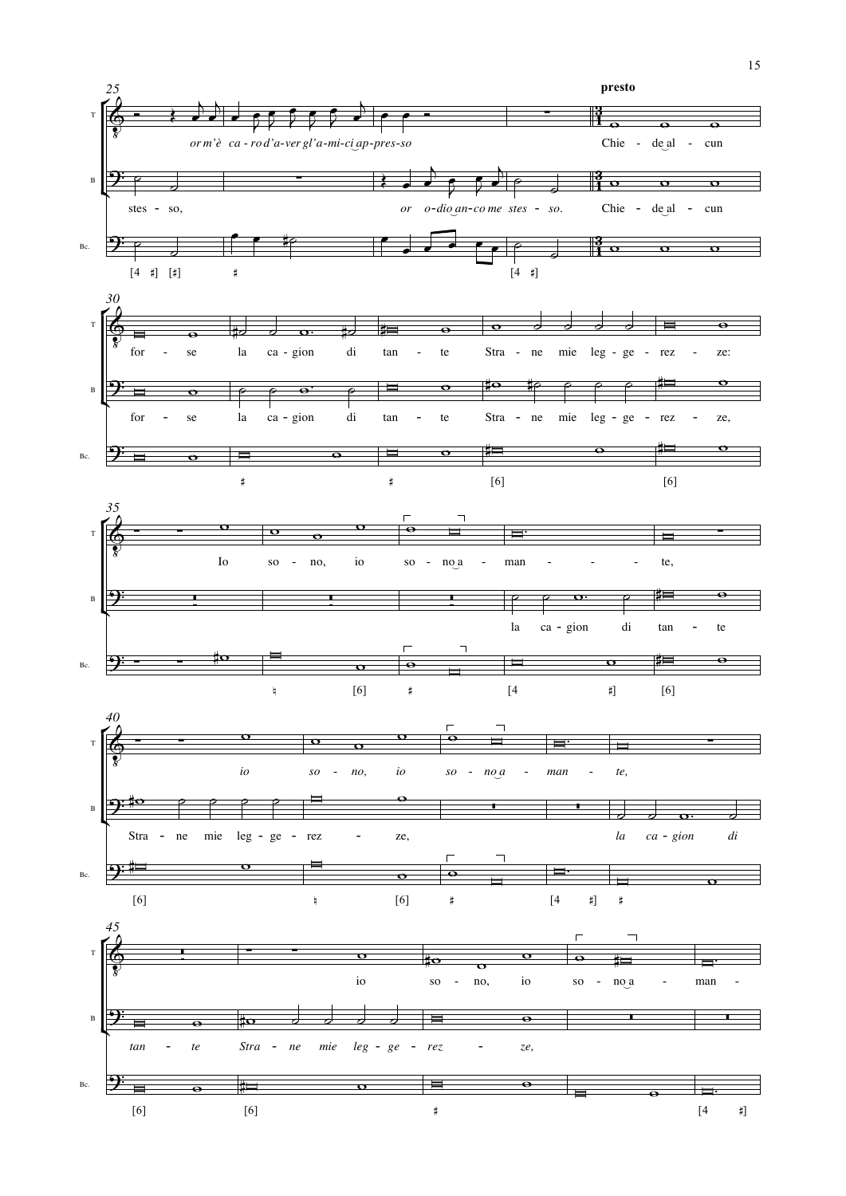

15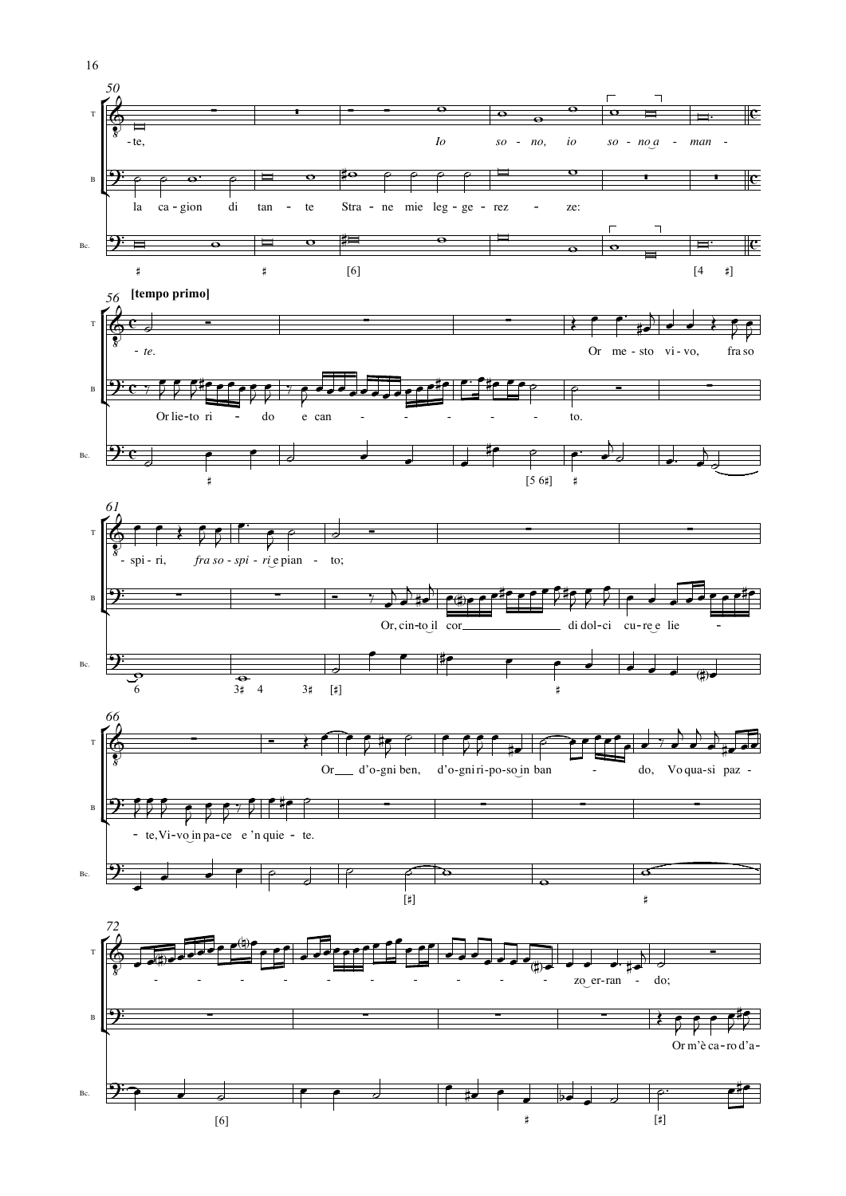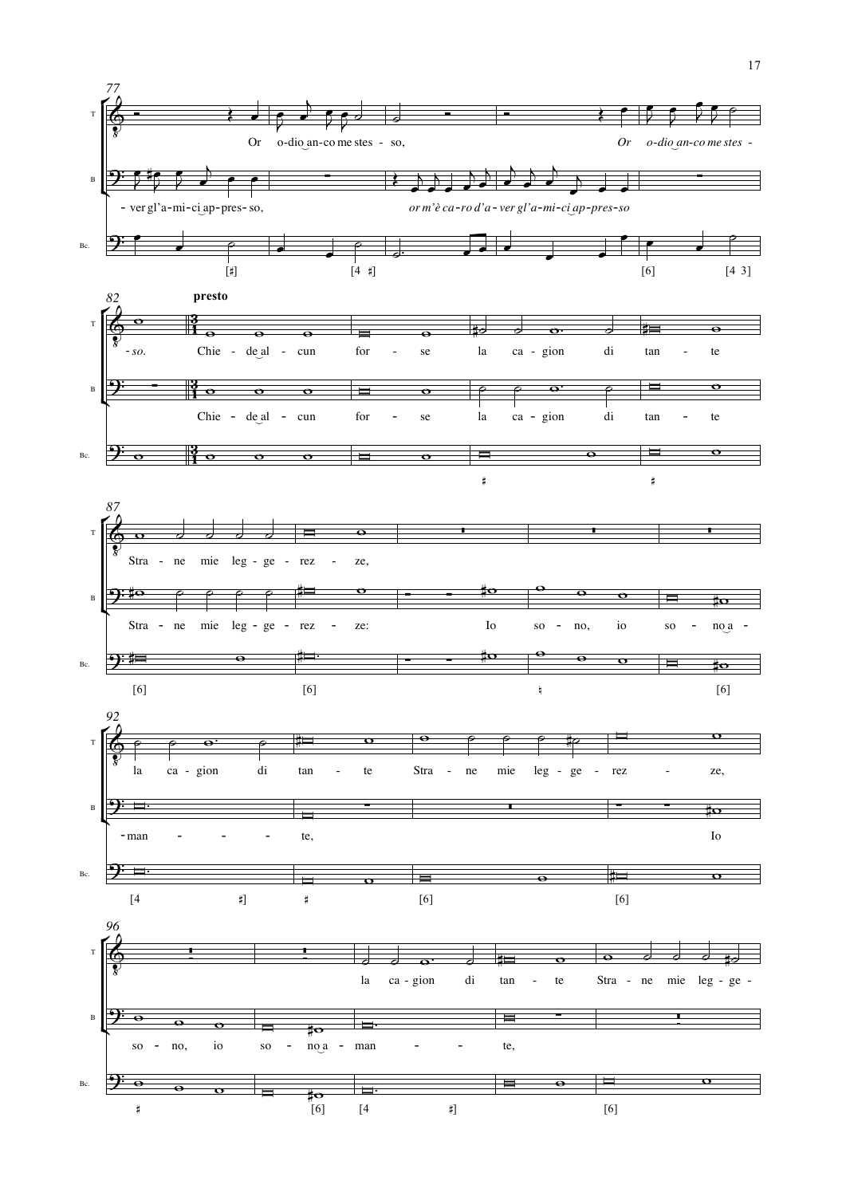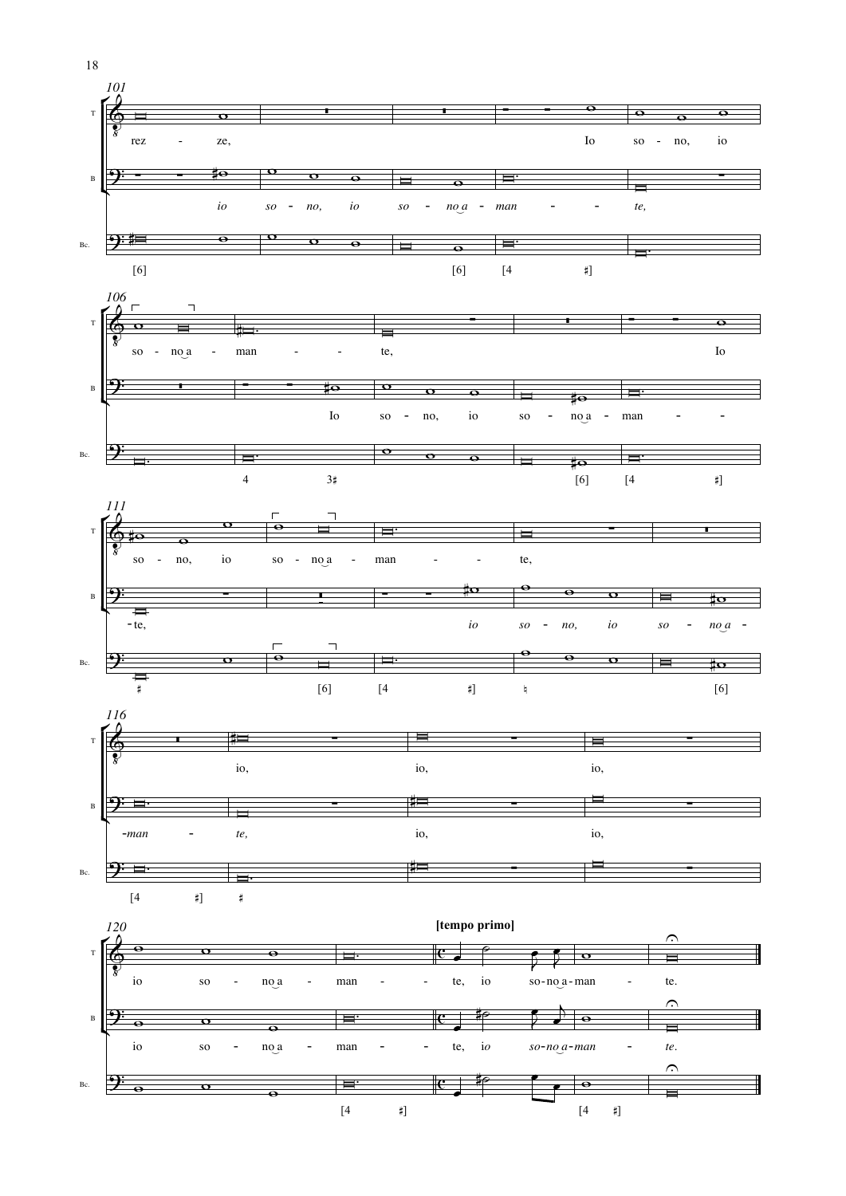

18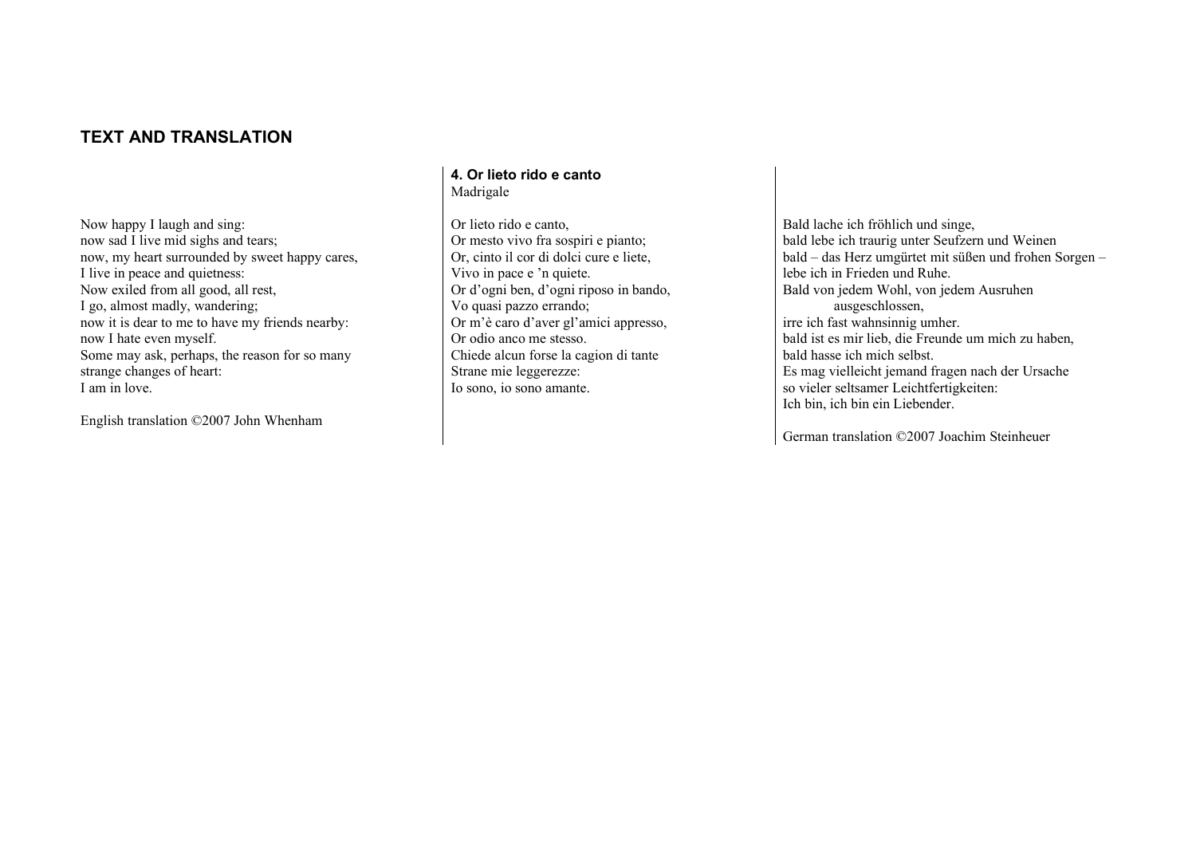## **TEXT AND TRANSLATION**

Now happy I laugh and sing: now sad I live mid sighs and tears; now, my heart surrounded by sweet happy cares, I live in peace and quietness: Now exiled from all good, all rest, I go, almost madly, wandering; now it is dear to me to have my friends nearby: now I hate even myself. Some may ask, perhaps, the reason for so many strange changes of heart: I am in love.

English translation ©2007 John Whenham

#### **4. Or lieto rido e canto** Madrigale

Or lieto rido e canto, Or mesto vivo fra sospiri e pianto; Or, cinto il cor di dolci cure e liete, Vivo in pace e 'n quiete. Or d'ogni ben, d'ogni riposo in bando, Vo quasi pazzo errando; Or m'è caro d'aver gl'amici appresso, Or odio anco me stesso. Chiede alcun forse la cagion di tante Strane mie leggerezze: Io sono, io sono amante.

Bald lache ich fröhlich und singe, bald lebe ich traurig unter Seufzern und Weinen bald – das Herz umgürtet mit süßen und frohen Sorgen – lebe ich in Frieden und Ruhe. Bald von jedem Wohl, von jedem Ausruhen ausgeschlossen, irre ich fast wahnsinnig umher. bald ist es mir lieb, die Freunde um mich zu haben, bald hasse ich mich selbst. Es mag vielleicht jemand fragen nach der Ursache so vieler seltsamer Leichtfertigkeiten: Ich bin, ich bin ein Liebender.

German translation ©2007 Joachim Steinheuer